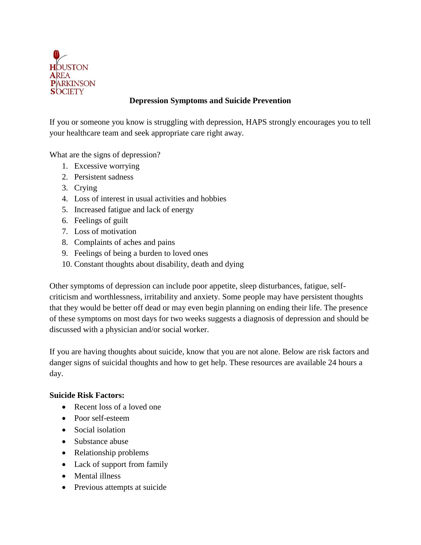

## **Depression Symptoms and Suicide Prevention**

If you or someone you know is struggling with depression, HAPS strongly encourages you to tell your healthcare team and seek appropriate care right away.

What are the signs of depression?

- 1. Excessive worrying
- 2. Persistent sadness
- 3. Crying
- 4. Loss of interest in usual activities and hobbies
- 5. Increased fatigue and lack of energy
- 6. Feelings of guilt
- 7. Loss of motivation
- 8. Complaints of aches and pains
- 9. Feelings of being a burden to loved ones
- 10. Constant thoughts about disability, death and dying

Other symptoms of depression can include poor appetite, sleep disturbances, fatigue, selfcriticism and worthlessness, irritability and anxiety. Some people may have persistent thoughts that they would be better off dead or may even begin planning on ending their life. The presence of these symptoms on most days for two weeks suggests a diagnosis of depression and should be discussed with a physician and/or social worker.

If you are having thoughts about suicide, know that you are not alone. Below are risk factors and danger signs of suicidal thoughts and how to get help. These resources are available 24 hours a day.

## **Suicide Risk Factors:**

- Recent loss of a loved one
- Poor self-esteem
- Social isolation
- Substance abuse
- Relationship problems
- Lack of support from family
- Mental illness
- Previous attempts at suicide